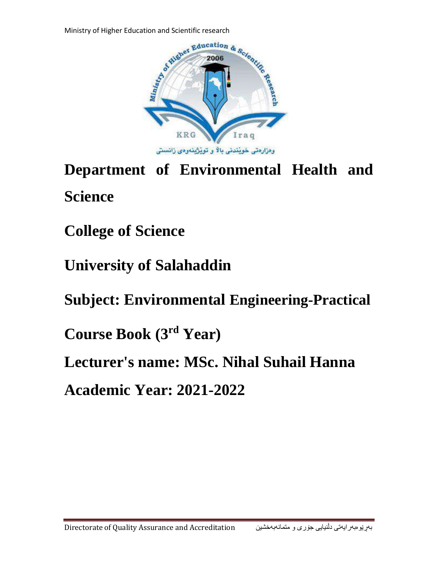

**Department of Environmental Health and Science**

**College of Science**

**University of Salahaddin**

**Subject: Environmental Engineering-Practical**

**Course Book (3 rd Year)**

**Lecturer's name: MSc. Nihal Suhail Hanna**

**Academic Year: 2021-2022**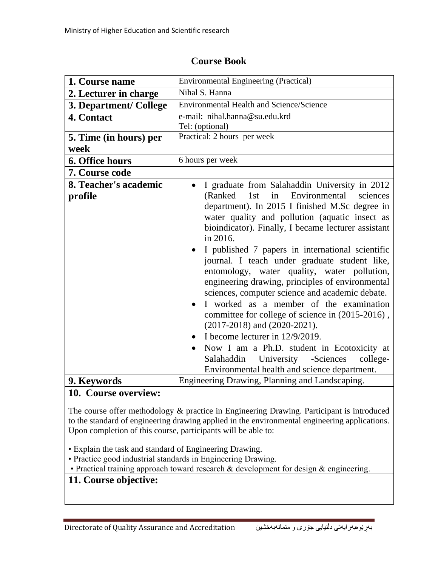| 1. Course name                   | <b>Environmental Engineering (Practical)</b>                                                                                                                                                                                                                                                                                                                                                                                                                                                                                                                                                                                                                                                                                                                                                                                                                    |
|----------------------------------|-----------------------------------------------------------------------------------------------------------------------------------------------------------------------------------------------------------------------------------------------------------------------------------------------------------------------------------------------------------------------------------------------------------------------------------------------------------------------------------------------------------------------------------------------------------------------------------------------------------------------------------------------------------------------------------------------------------------------------------------------------------------------------------------------------------------------------------------------------------------|
| 2. Lecturer in charge            | Nihal S. Hanna                                                                                                                                                                                                                                                                                                                                                                                                                                                                                                                                                                                                                                                                                                                                                                                                                                                  |
| 3. Department/ College           | Environmental Health and Science/Science                                                                                                                                                                                                                                                                                                                                                                                                                                                                                                                                                                                                                                                                                                                                                                                                                        |
| 4. Contact                       | e-mail: nihal.hanna@su.edu.krd                                                                                                                                                                                                                                                                                                                                                                                                                                                                                                                                                                                                                                                                                                                                                                                                                                  |
|                                  | Tel: (optional)                                                                                                                                                                                                                                                                                                                                                                                                                                                                                                                                                                                                                                                                                                                                                                                                                                                 |
| 5. Time (in hours) per           | Practical: 2 hours per week                                                                                                                                                                                                                                                                                                                                                                                                                                                                                                                                                                                                                                                                                                                                                                                                                                     |
| week                             |                                                                                                                                                                                                                                                                                                                                                                                                                                                                                                                                                                                                                                                                                                                                                                                                                                                                 |
| 6. Office hours                  | 6 hours per week                                                                                                                                                                                                                                                                                                                                                                                                                                                                                                                                                                                                                                                                                                                                                                                                                                                |
| 7. Course code                   |                                                                                                                                                                                                                                                                                                                                                                                                                                                                                                                                                                                                                                                                                                                                                                                                                                                                 |
| 8. Teacher's academic<br>profile | I graduate from Salahaddin University in 2012<br>1st<br>in<br>Environmental<br>(Ranked)<br>sciences<br>department). In 2015 I finished M.Sc degree in<br>water quality and pollution (aquatic insect as<br>bioindicator). Finally, I became lecturer assistant<br>in 2016.<br>I published 7 papers in international scientific<br>journal. I teach under graduate student like,<br>entomology, water quality, water pollution,<br>engineering drawing, principles of environmental<br>sciences, computer science and academic debate.<br>I worked as a member of the examination<br>committee for college of science in (2015-2016),<br>$(2017-2018)$ and $(2020-2021)$ .<br>I become lecturer in $12/9/2019$ .<br>Now I am a Ph.D. student in Ecotoxicity at<br>Salahaddin University<br>-Sciences<br>college-<br>Environmental health and science department. |
|                                  |                                                                                                                                                                                                                                                                                                                                                                                                                                                                                                                                                                                                                                                                                                                                                                                                                                                                 |
| 9. Keywords                      | Engineering Drawing, Planning and Landscaping.                                                                                                                                                                                                                                                                                                                                                                                                                                                                                                                                                                                                                                                                                                                                                                                                                  |

### **Course Book**

# **10. Course overview:**

The course offer methodology & practice in Engineering Drawing. Participant is introduced to the standard of engineering drawing applied in the environmental engineering applications. Upon completion of this course, participants will be able to:

• Explain the task and standard of Engineering Drawing.

• Practice good industrial standards in Engineering Drawing.

• Practical training approach toward research & development for design & engineering.

## **11. Course objective:**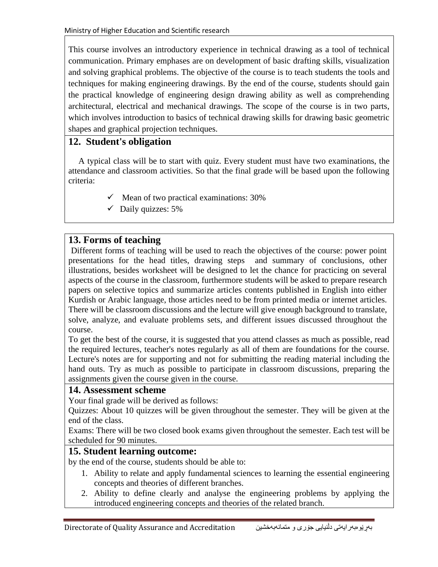This course involves an introductory experience in technical drawing as a tool of technical communication. Primary emphases are on development of basic drafting skills, visualization and solving graphical problems. The objective of the course is to teach students the tools and techniques for making engineering drawings. By the end of the course, students should gain the practical knowledge of engineering design drawing ability as well as comprehending architectural, electrical and mechanical drawings. The scope of the course is in two parts, which involves introduction to basics of technical drawing skills for drawing basic geometric shapes and graphical projection techniques.

## **12. Student's obligation**

A typical class will be to start with quiz. Every student must have two examinations, the attendance and classroom activities. So that the final grade will be based upon the following criteria:

- $\checkmark$  Mean of two practical examinations: 30%
- $\checkmark$  Daily quizzes: 5%

# **13. Forms of teaching**

Different forms of teaching will be used to reach the objectives of the course: power point presentations for the head titles, drawing steps and summary of conclusions, other illustrations, besides worksheet will be designed to let the chance for practicing on several aspects of the course in the classroom, furthermore students will be asked to prepare research papers on selective topics and summarize articles contents published in English into either Kurdish or Arabic language, those articles need to be from printed media or internet articles. There will be classroom discussions and the lecture will give enough background to translate, solve, analyze, and evaluate problems sets, and different issues discussed throughout the course.

To get the best of the course, it is suggested that you attend classes as much as possible, read the required lectures, teacher's notes regularly as all of them are foundations for the course. Lecture's notes are for supporting and not for submitting the reading material including the hand outs. Try as much as possible to participate in classroom discussions, preparing the assignments given the course given in the course.

#### **14. Assessment scheme**

Your final grade will be derived as follows:

Quizzes: About 10 quizzes will be given throughout the semester. They will be given at the end of the class.

Exams: There will be two closed book exams given throughout the semester. Each test will be scheduled for 90 minutes.

#### **15. Student learning outcome:**

by the end of the course, students should be able to:

- 1. Ability to relate and apply fundamental sciences to learning the essential engineering concepts and theories of different branches.
- 2. Ability to define clearly and analyse the engineering problems by applying the introduced engineering concepts and theories of the related branch.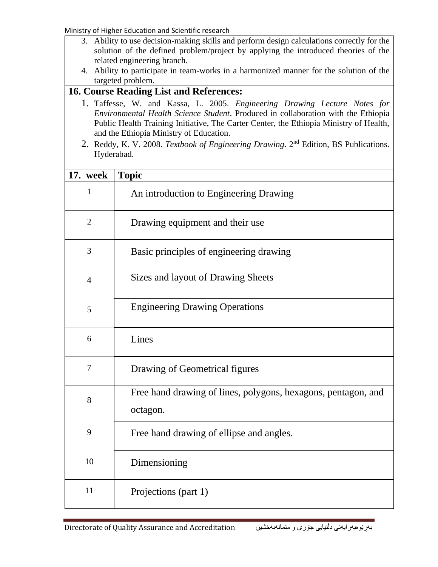Ministry of Higher Education and Scientific research

- 3. Ability to use decision-making skills and perform design calculations correctly for the solution of the defined problem/project by applying the introduced theories of the related engineering branch.
- 4. Ability to participate in team-works in a harmonized manner for the solution of the targeted problem.

### **16. Course Reading List and References:**

- 1. Taffesse, W. and Kassa, L. 2005. *Engineering Drawing Lecture Notes for Environmental Health Science Student*. Produced in collaboration with the Ethiopia Public Health Training Initiative, The Carter Center, the Ethiopia Ministry of Health, and the Ethiopia Ministry of Education.
- 2. Reddy, K. V. 2008. *Textbook of Engineering Drawing*. 2nd Edition, BS Publications. Hyderabad.

| <b>17. week</b> | <b>Topic</b>                                                              |
|-----------------|---------------------------------------------------------------------------|
| 1               | An introduction to Engineering Drawing                                    |
| $\overline{2}$  | Drawing equipment and their use                                           |
| 3               | Basic principles of engineering drawing                                   |
| $\overline{4}$  | Sizes and layout of Drawing Sheets                                        |
| 5               | <b>Engineering Drawing Operations</b>                                     |
| 6               | Lines                                                                     |
| $\overline{7}$  | Drawing of Geometrical figures                                            |
| 8               | Free hand drawing of lines, polygons, hexagons, pentagon, and<br>octagon. |
| 9               | Free hand drawing of ellipse and angles.                                  |
| 10              | Dimensioning                                                              |
| 11              | Projections (part 1)                                                      |